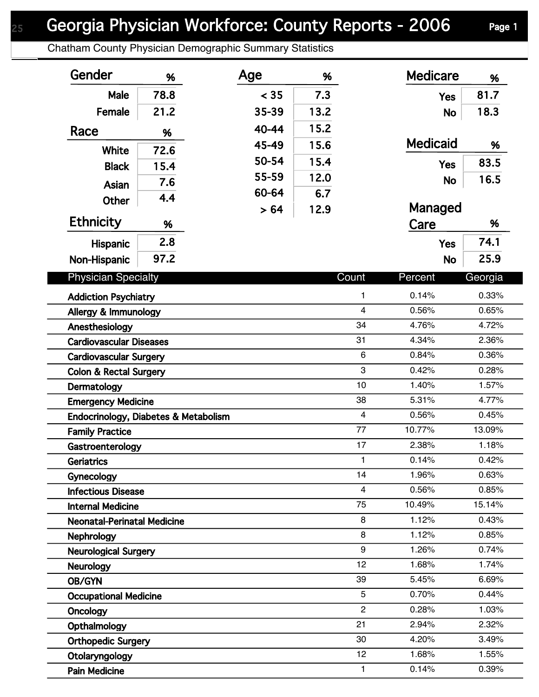## Georgia Physician Workforce: County Reports - 2006 Page 1

Chatham County Physician Demographic Summary Statistics

| Gender                                           | %    | Age   | %    |                | <b>Medicare</b> | %              |
|--------------------------------------------------|------|-------|------|----------------|-----------------|----------------|
| Male                                             | 78.8 | < 35  | 7.3  |                | <b>Yes</b>      | 81.7           |
| Female                                           | 21.2 | 35-39 | 13.2 |                | <b>No</b>       | 18.3           |
| Race                                             | %    | 40-44 | 15.2 |                |                 |                |
| White                                            | 72.6 | 45-49 | 15.6 |                | <b>Medicaid</b> | %              |
| <b>Black</b>                                     | 15.4 | 50-54 | 15.4 |                | <b>Yes</b>      | 83.5           |
|                                                  | 7.6  | 55-59 | 12.0 |                | <b>No</b>       | 16.5           |
| Asian                                            | 4.4  | 60-64 | 6.7  |                |                 |                |
| <b>Other</b>                                     |      | > 64  | 12.9 |                | Managed         |                |
| <b>Ethnicity</b>                                 | %    |       |      |                | Care            | %              |
| Hispanic                                         | 2.8  |       |      |                | <b>Yes</b>      | 74.1           |
| Non-Hispanic                                     | 97.2 |       |      |                | <b>No</b>       | 25.9           |
| <b>Physician Specialty</b>                       |      |       |      | Count          | Percent         | Georgia        |
|                                                  |      |       |      |                |                 |                |
| <b>Addiction Psychiatry</b>                      |      |       |      | 1              | 0.14%           | 0.33%          |
| Allergy & Immunology                             |      |       |      | $\overline{4}$ | 0.56%           | 0.65%          |
| Anesthesiology                                   |      |       |      | 34             | 4.76%           | 4.72%          |
| <b>Cardiovascular Diseases</b>                   |      |       |      | 31<br>6        | 4.34%<br>0.84%  | 2.36%<br>0.36% |
| <b>Cardiovascular Surgery</b>                    |      |       |      | 3              | 0.42%           | 0.28%          |
| <b>Colon &amp; Rectal Surgery</b><br>Dermatology |      |       |      | 10             | 1.40%           | 1.57%          |
| <b>Emergency Medicine</b>                        |      |       |      | 38             | 5.31%           | 4.77%          |
| Endocrinology, Diabetes & Metabolism             |      |       |      | $\overline{4}$ | 0.56%           | 0.45%          |
| <b>Family Practice</b>                           |      |       |      | 77             | 10.77%          | 13.09%         |
| Gastroenterology                                 |      |       |      | 17             | 2.38%           | 1.18%          |
| Geriatrics                                       |      |       |      | 1              | 0.14%           | 0.42%          |
| Gynecology                                       |      |       |      | 14             | 1.96%           | 0.63%          |
| <b>Infectious Disease</b>                        |      |       |      | $\overline{4}$ | 0.56%           | 0.85%          |
| <b>Internal Medicine</b>                         |      |       |      | 75             | 10.49%          | 15.14%         |
| <b>Neonatal-Perinatal Medicine</b>               |      |       |      | 8              | 1.12%           | 0.43%          |
| Nephrology                                       |      |       |      | 8              | 1.12%           | 0.85%          |
| <b>Neurological Surgery</b>                      |      |       |      | 9              | 1.26%           | 0.74%          |
| <b>Neurology</b>                                 |      |       |      | 12             | 1.68%           | 1.74%          |
| OB/GYN                                           |      |       |      | 39             | 5.45%           | 6.69%          |
| <b>Occupational Medicine</b>                     |      |       |      | 5              | 0.70%           | 0.44%          |
| <b>Oncology</b>                                  |      |       |      | $\overline{c}$ | 0.28%           | 1.03%          |
| Opthalmology                                     |      |       |      | 21             | 2.94%           | 2.32%          |
| <b>Orthopedic Surgery</b>                        |      |       |      | 30             | 4.20%           | 3.49%          |
| Otolaryngology                                   |      |       |      | 12             | 1.68%           | 1.55%          |
| <b>Pain Medicine</b>                             |      |       |      | $\mathbf{1}$   | 0.14%           | 0.39%          |